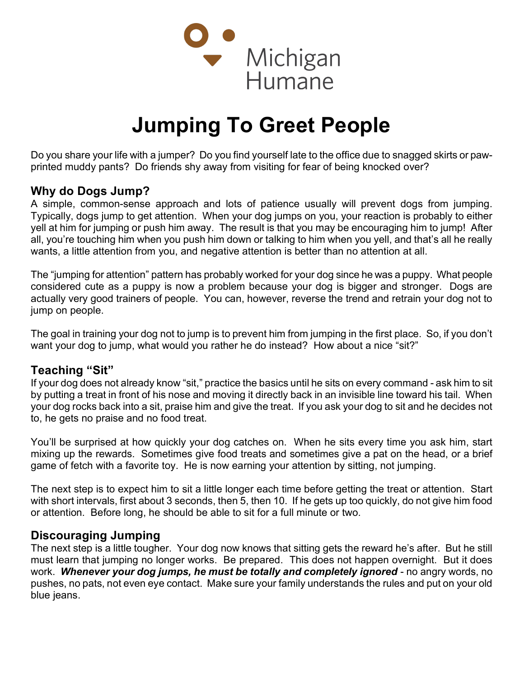

# Jumping To Greet People

Do you share your life with a jumper? Do you find yourself late to the office due to snagged skirts or pawprinted muddy pants? Do friends shy away from visiting for fear of being knocked over?

## Why do Dogs Jump?

A simple, common-sense approach and lots of patience usually will prevent dogs from jumping. Typically, dogs jump to get attention. When your dog jumps on you, your reaction is probably to either yell at him for jumping or push him away. The result is that you may be encouraging him to jump! After all, you're touching him when you push him down or talking to him when you yell, and that's all he really wants, a little attention from you, and negative attention is better than no attention at all.

The "jumping for attention" pattern has probably worked for your dog since he was a puppy. What people considered cute as a puppy is now a problem because your dog is bigger and stronger. Dogs are actually very good trainers of people. You can, however, reverse the trend and retrain your dog not to jump on people.

The goal in training your dog not to jump is to prevent him from jumping in the first place. So, if you don't want your dog to jump, what would you rather he do instead? How about a nice "sit?"

### Teaching "Sit"

If your dog does not already know "sit," practice the basics until he sits on every command - ask him to sit by putting a treat in front of his nose and moving it directly back in an invisible line toward his tail. When your dog rocks back into a sit, praise him and give the treat. If you ask your dog to sit and he decides not to, he gets no praise and no food treat.

You'll be surprised at how quickly your dog catches on. When he sits every time you ask him, start mixing up the rewards. Sometimes give food treats and sometimes give a pat on the head, or a brief game of fetch with a favorite toy. He is now earning your attention by sitting, not jumping.

The next step is to expect him to sit a little longer each time before getting the treat or attention. Start with short intervals, first about 3 seconds, then 5, then 10. If he gets up too quickly, do not give him food or attention. Before long, he should be able to sit for a full minute or two.

### Discouraging Jumping

The next step is a little tougher. Your dog now knows that sitting gets the reward he's after. But he still must learn that jumping no longer works. Be prepared. This does not happen overnight. But it does work. Whenever your dog jumps, he must be totally and completely ignored - no angry words, no pushes, no pats, not even eye contact. Make sure your family understands the rules and put on your old blue jeans.